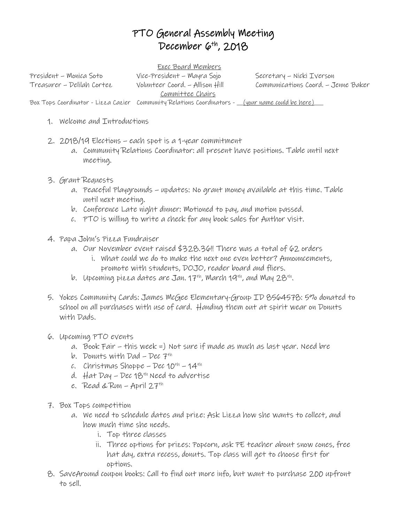## PTO General Assembly Meeting December 6 th, 2018

Exec Board Members President – Monica Soto Vice-President – Mayra Sojo Secretary – Nicki Iverson Committee Chairs

Treasurer – Delilah Cortez Volunteer Coord. – Allison Hill Communications Coord. – Jenne Baker

Box Tops Coordinator - Lizza Cazier Community Relations Coordinators - \_\_(your name could be here)\_\_\_

- 1. Welcome and Introductions
- 2. 2018/19 Elections each spot is a 1-year commitment
	- a. Community Relations Coordinator: all present have positions. Table until next meeting.
- 3. Grant Requests
	- a. Peaceful Playgrounds updates: No grant money available at this time. Table until next meeting.
	- b. Conference Late night dinner: Motioned to pay, and motion passed.
	- c. PTO is willing to write a check for any book sales for Author visit.
- 4. Papa John's Pizza Fundraiser
	- a. Our November event raised \$328.36!! There was a total of 62 orders
		- i. What could we do to make the next one even better? Announcements, promote with students, DOJO, reader board and fliers.
	- b. Upcoming pizza dates are Jan. 17th, March 19th, and May 28th.
- 5. Yokes Community Cards: James McGee Elementary-Group ID 8564578: 5% donated to school on all purchases with use of card. Handing them out at spirit wear on Donuts with Dads.
- 6. Upcoming PTO events
	- a. Book Fair this week =) Not sure if made as much as last year. Need bre
	- b. Donuts with  $Dad Dec$   $7<sup>th</sup>$
	- c. Christmas Shoppe Dec  $10^{th}$   $14^{th}$
	- d. Hat Day Dec  $18^{th}$  Need to advertise
	- e. Read & Run April  $27<sup>th</sup>$
- 7. Box Tops competition
	- a. We need to schedule dates and prize: Ask Lizza how she wants to collect, and how much time she needs.
		- i. Top three classes
		- ii. Three options for prizes: Popcorn, ask PE teacher about snow cones, free hat day, extra recess, donuts. Top class will get to choose first for options.
- 8. SaveAround coupon books: Call to find out more info, but want to purchase 200 upfront to sell.